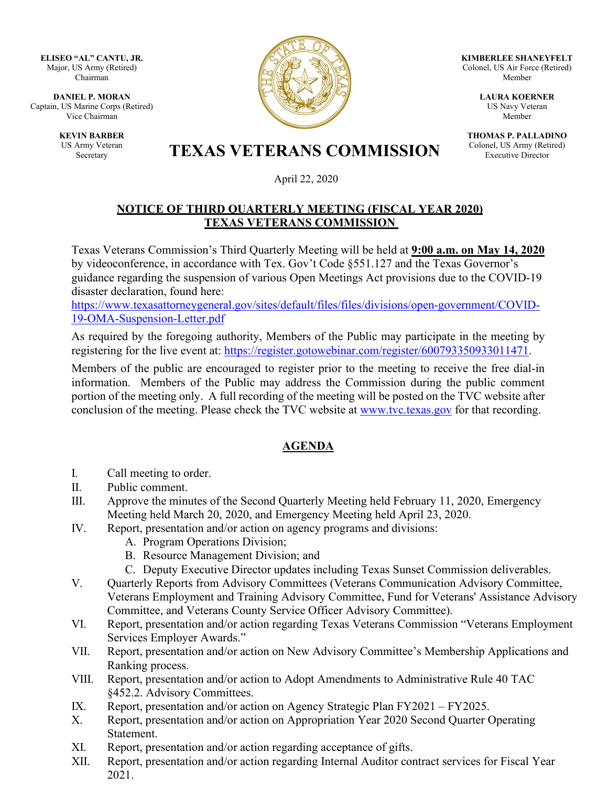**ELISEO "AL" CANTU, JR.** Major, US Army (Retired) Chairman

**DANIEL P. MORAN** Captain, US Marine Corps (Retired) Vice Chairman

> **KEVIN BARBER** US Army Veteran



**KIMBERLEE SHANEYFELT** Colonel, US Air Force (Retired) Member

> **LAURA KOERNER** US Navy Veteran Member

**THOMAS P. PALLADINO** Colonel, US Army (Retired) Executive Director

## Army Veteran<br>Secretary **TEXAS VETERANS COMMISSION**

April 22, 2020

## **NOTICE OF THIRD QUARTERLY MEETING (FISCAL YEAR 2020) TEXAS VETERANS COMMISSION**

Texas Veterans Commission's Third Quarterly Meeting will be held at **9:00 a.m. on May 14, 2020** by videoconference, in accordance with Tex. Gov't Code §551.127 and the Texas Governor's guidance regarding the suspension of various Open Meetings Act provisions due to the COVID-19 disaster declaration, found here:

[https://www.texasattorneygeneral.gov/sites/default/files/files/divisions/open-government/COVID-](https://www.texasattorneygeneral.gov/sites/default/files/files/divisions/open-government/COVID-19-OMA-Suspension-Letter.pdf)[19-OMA-Suspension-Letter.pdf](https://www.texasattorneygeneral.gov/sites/default/files/files/divisions/open-government/COVID-19-OMA-Suspension-Letter.pdf)

As required by the foregoing authority, Members of the Public may participate in the meeting by registering for the live event at: [https://register.gotowebinar.com/register/600793350933011471.](https://register.gotowebinar.com/register/600793350933011471)

Members of the public are encouraged to register prior to the meeting to receive the free dial-in information. Members of the Public may address the Commission during the public comment portion of the meeting only. A full recording of the meeting will be posted on the TVC website after conclusion of the meeting. Please check the TVC website at [www.tvc.texas.gov](http://www.tvc.texas.gov/) for that recording.

## **AGENDA**

- I. Call meeting to order.
- II. Public comment.
- III. Approve the minutes of the Second Quarterly Meeting held February 11, 2020, Emergency Meeting held March 20, 2020, and Emergency Meeting held April 23, 2020.
- IV. Report, presentation and/or action on agency programs and divisions:
	- A. Program Operations Division;
	- B. Resource Management Division; and
	- C. Deputy Executive Director updates including Texas Sunset Commission deliverables.
- V. Quarterly Reports from Advisory Committees (Veterans Communication Advisory Committee, Veterans Employment and Training Advisory Committee, Fund for Veterans' Assistance Advisory Committee, and Veterans County Service Officer Advisory Committee).
- VI. Report, presentation and/or action regarding Texas Veterans Commission "Veterans Employment Services Employer Awards."
- VII. Report, presentation and/or action on New Advisory Committee's Membership Applications and Ranking process.
- VIII. Report, presentation and/or action to Adopt Amendments to Administrative Rule 40 TAC §452.2. Advisory Committees.
- IX. Report, presentation and/or action on Agency Strategic Plan FY2021 FY2025.
- X. Report, presentation and/or action on Appropriation Year 2020 Second Quarter Operating Statement.
- XI. Report, presentation and/or action regarding acceptance of gifts.
- XII. Report, presentation and/or action regarding Internal Auditor contract services for Fiscal Year 2021.